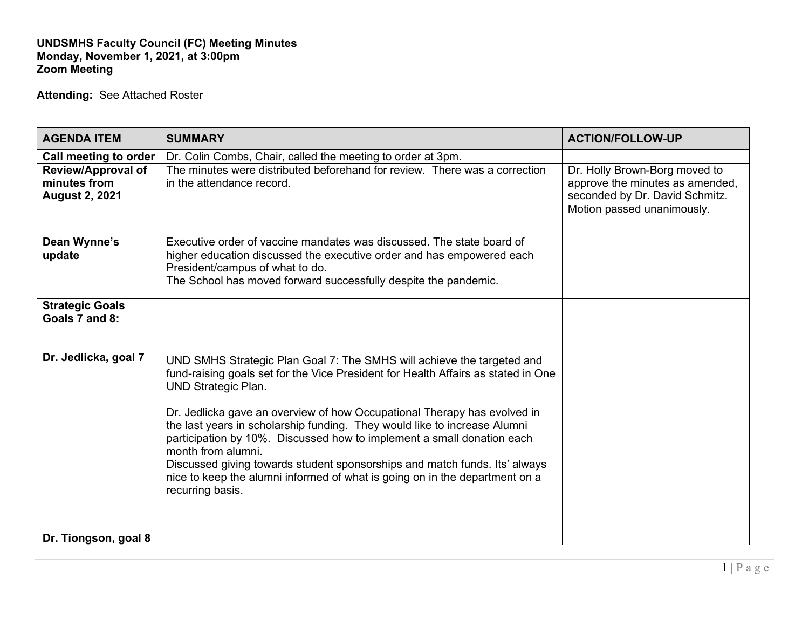## **UNDSMHS Faculty Council (FC) Meeting Minutes Monday, November 1, 2021, at 3:00pm Zoom Meeting**

**Attending:** See Attached Roster

| <b>AGENDA ITEM</b>                                                 | <b>SUMMARY</b>                                                                                                                                                                                                                                                                                                                                                                                                                                                                                                                                                                                                                      | <b>ACTION/FOLLOW-UP</b>                                                                                                          |
|--------------------------------------------------------------------|-------------------------------------------------------------------------------------------------------------------------------------------------------------------------------------------------------------------------------------------------------------------------------------------------------------------------------------------------------------------------------------------------------------------------------------------------------------------------------------------------------------------------------------------------------------------------------------------------------------------------------------|----------------------------------------------------------------------------------------------------------------------------------|
| Call meeting to order                                              | Dr. Colin Combs, Chair, called the meeting to order at 3pm.                                                                                                                                                                                                                                                                                                                                                                                                                                                                                                                                                                         |                                                                                                                                  |
| <b>Review/Approval of</b><br>minutes from<br><b>August 2, 2021</b> | The minutes were distributed beforehand for review. There was a correction<br>in the attendance record.                                                                                                                                                                                                                                                                                                                                                                                                                                                                                                                             | Dr. Holly Brown-Borg moved to<br>approve the minutes as amended,<br>seconded by Dr. David Schmitz.<br>Motion passed unanimously. |
| Dean Wynne's<br>update                                             | Executive order of vaccine mandates was discussed. The state board of<br>higher education discussed the executive order and has empowered each<br>President/campus of what to do.<br>The School has moved forward successfully despite the pandemic.                                                                                                                                                                                                                                                                                                                                                                                |                                                                                                                                  |
| <b>Strategic Goals</b><br>Goals 7 and 8:                           |                                                                                                                                                                                                                                                                                                                                                                                                                                                                                                                                                                                                                                     |                                                                                                                                  |
| Dr. Jedlicka, goal 7                                               | UND SMHS Strategic Plan Goal 7: The SMHS will achieve the targeted and<br>fund-raising goals set for the Vice President for Health Affairs as stated in One<br><b>UND Strategic Plan.</b><br>Dr. Jedlicka gave an overview of how Occupational Therapy has evolved in<br>the last years in scholarship funding. They would like to increase Alumni<br>participation by 10%. Discussed how to implement a small donation each<br>month from alumni.<br>Discussed giving towards student sponsorships and match funds. Its' always<br>nice to keep the alumni informed of what is going on in the department on a<br>recurring basis. |                                                                                                                                  |
| Dr. Tiongson, goal 8                                               |                                                                                                                                                                                                                                                                                                                                                                                                                                                                                                                                                                                                                                     |                                                                                                                                  |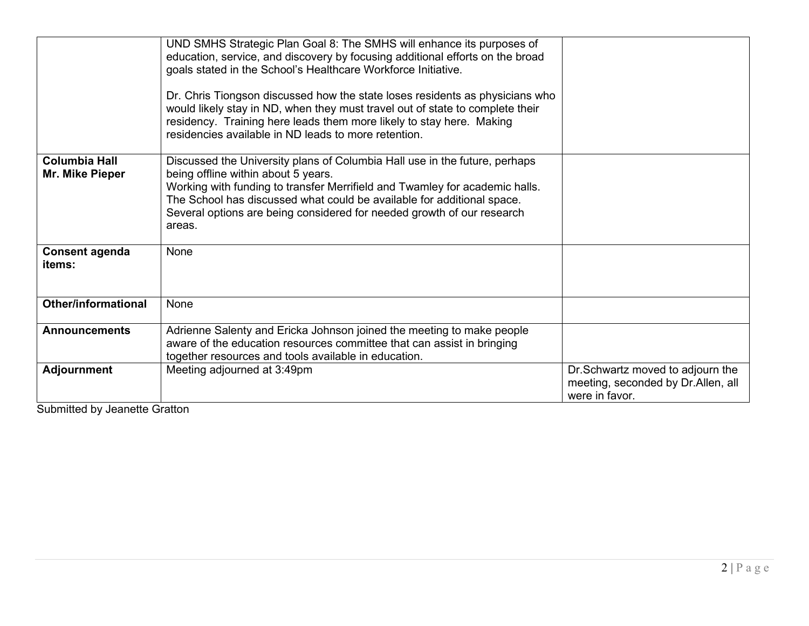|                                         | UND SMHS Strategic Plan Goal 8: The SMHS will enhance its purposes of<br>education, service, and discovery by focusing additional efforts on the broad<br>goals stated in the School's Healthcare Workforce Initiative.<br>Dr. Chris Tiongson discussed how the state loses residents as physicians who<br>would likely stay in ND, when they must travel out of state to complete their<br>residency. Training here leads them more likely to stay here. Making<br>residencies available in ND leads to more retention. |                                                                                          |
|-----------------------------------------|--------------------------------------------------------------------------------------------------------------------------------------------------------------------------------------------------------------------------------------------------------------------------------------------------------------------------------------------------------------------------------------------------------------------------------------------------------------------------------------------------------------------------|------------------------------------------------------------------------------------------|
| <b>Columbia Hall</b><br>Mr. Mike Pieper | Discussed the University plans of Columbia Hall use in the future, perhaps<br>being offline within about 5 years.<br>Working with funding to transfer Merrifield and Twamley for academic halls.<br>The School has discussed what could be available for additional space.<br>Several options are being considered for needed growth of our research<br>areas.                                                                                                                                                           |                                                                                          |
| <b>Consent agenda</b><br>items:         | None                                                                                                                                                                                                                                                                                                                                                                                                                                                                                                                     |                                                                                          |
| <b>Other/informational</b>              | None                                                                                                                                                                                                                                                                                                                                                                                                                                                                                                                     |                                                                                          |
| <b>Announcements</b>                    | Adrienne Salenty and Ericka Johnson joined the meeting to make people<br>aware of the education resources committee that can assist in bringing<br>together resources and tools available in education.                                                                                                                                                                                                                                                                                                                  |                                                                                          |
| <b>Adjournment</b>                      | Meeting adjourned at 3:49pm                                                                                                                                                                                                                                                                                                                                                                                                                                                                                              | Dr.Schwartz moved to adjourn the<br>meeting, seconded by Dr.Allen, all<br>were in favor. |

Submitted by Jeanette Gratton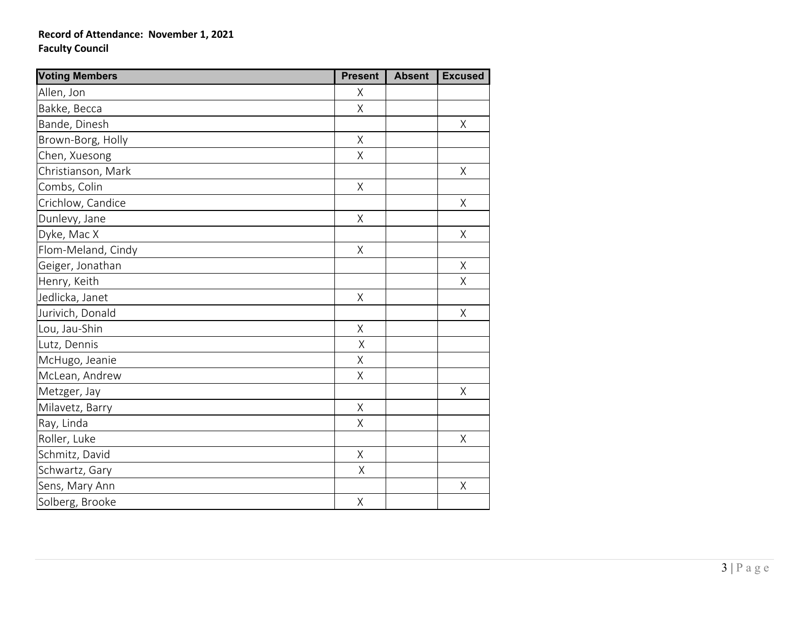## **Record of Attendance: November 1, 2021 Faculty Council**

| <b>Voting Members</b> | <b>Present</b>     | <b>Absent</b> | <b>Excused</b> |
|-----------------------|--------------------|---------------|----------------|
| Allen, Jon            | X                  |               |                |
| Bakke, Becca          | $\sf X$            |               |                |
| Bande, Dinesh         |                    |               | Χ              |
| Brown-Borg, Holly     | Χ                  |               |                |
| Chen, Xuesong         | $\sf X$            |               |                |
| Christianson, Mark    |                    |               | $\sf X$        |
| Combs, Colin          | $\mathsf X$        |               |                |
| Crichlow, Candice     |                    |               | Χ              |
| Dunlevy, Jane         | Χ                  |               |                |
| Dyke, Mac X           |                    |               | Χ              |
| Flom-Meland, Cindy    | $\mathsf{X}% _{0}$ |               |                |
| Geiger, Jonathan      |                    |               | $\mathsf X$    |
| Henry, Keith          |                    |               | Χ              |
| Jedlicka, Janet       | $\mathsf X$        |               |                |
| Jurivich, Donald      |                    |               | $\sf X$        |
| Lou, Jau-Shin         | Χ                  |               |                |
| Lutz, Dennis          | Χ                  |               |                |
| McHugo, Jeanie        | Χ                  |               |                |
| McLean, Andrew        | $\mathsf X$        |               |                |
| Metzger, Jay          |                    |               | Χ              |
| Milavetz, Barry       | Χ                  |               |                |
| Ray, Linda            | Χ                  |               |                |
| Roller, Luke          |                    |               | Χ              |
| Schmitz, David        | Χ                  |               |                |
| Schwartz, Gary        | Χ                  |               |                |
| Sens, Mary Ann        |                    |               | Χ              |
| Solberg, Brooke       | Χ                  |               |                |